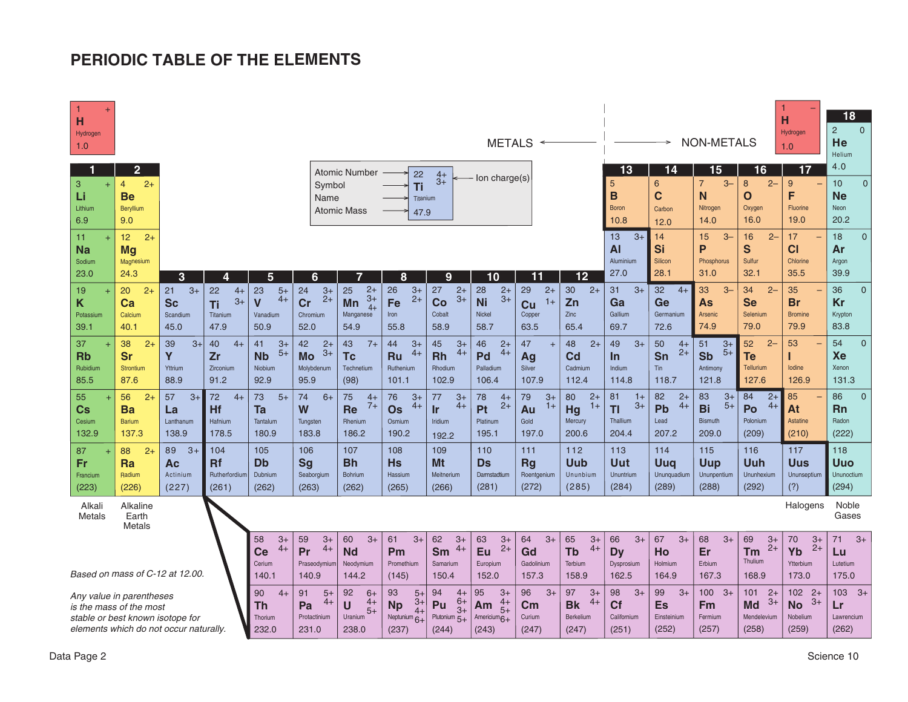## **PERIODIC TABLE OF THE ELEMENTS**

| $\ddot{}$<br>н<br>Hydrogen<br>1.0                                                                                                 |                                                                           |                                             |                                              |                                                               |                                                       |                                                                  |                                                             |                                                                    |                                                   | $METALS \leftarrow$                                   |                                                     |                                                      |                                                       | <b>NON-METALS</b>                                     |                                                                   | H<br>Hydrogen<br>1.0                           | 18<br>$\overline{2}$<br>$\Omega$<br>He<br>Helium                |
|-----------------------------------------------------------------------------------------------------------------------------------|---------------------------------------------------------------------------|---------------------------------------------|----------------------------------------------|---------------------------------------------------------------|-------------------------------------------------------|------------------------------------------------------------------|-------------------------------------------------------------|--------------------------------------------------------------------|---------------------------------------------------|-------------------------------------------------------|-----------------------------------------------------|------------------------------------------------------|-------------------------------------------------------|-------------------------------------------------------|-------------------------------------------------------------------|------------------------------------------------|-----------------------------------------------------------------|
| н<br>3<br>$+$<br>Li<br>Lithium<br>6.9                                                                                             | $\overline{2}$<br>$\overline{4}$<br>$2+$<br><b>Be</b><br>Beryllium<br>9.0 |                                             |                                              |                                                               | Symbol<br>Name                                        | <b>Atomic Number</b><br><b>Atomic Mass</b>                       | 22<br>Τi<br>Titanium<br>47.9                                | $4+$<br>$3+$                                                       | lon charge(s)                                     |                                                       |                                                     | 13<br>5<br>B<br><b>Boron</b><br>10.8                 | 14<br>$6\phantom{1}$<br>$\mathbf c$<br>Carbon<br>12.0 | 15<br>$\overline{7}$<br>$3-$<br>N<br>Nitrogen<br>14.0 | 16<br>$\boldsymbol{8}$<br>$2 -$<br>$\mathbf{o}$<br>Oxygen<br>16.0 | 17<br>9<br>F<br>Fluorine<br>19.0               | 4.0<br>10 <sup>1</sup><br>$\Omega$<br><b>Ne</b><br>Neon<br>20.2 |
| 11<br>Na<br>Sodium<br>23.0                                                                                                        | $2+$<br>12 <sub>2</sub><br><b>Mg</b><br>Magnesium<br>24.3                 | 3                                           | 4                                            | 5                                                             | 6                                                     | 7                                                                | 8                                                           | 9                                                                  | 10 <sub>1</sub>                                   | 11                                                    | 12                                                  | $3+$<br>13<br>AI<br>Aluminium<br>27.0                | 14<br>Si<br>Silicon<br>28.1                           | $3-$<br>15<br>P<br>Phosphorus<br>31.0                 | 16<br>$2 -$<br>S<br>Sulfur<br>32.1                                | 17<br>CI<br>Chlorine<br>35.5                   | 18<br>$\Omega$<br>Ar<br>Argon<br>39.9                           |
| 19<br>$\ddot{}$<br>Κ<br>Potassium<br>39.1                                                                                         | 20<br>$2+$<br>Ca<br>Calcium<br>40.1                                       | 21<br>$3+$<br><b>Sc</b><br>Scandium<br>45.0 | 22<br>$4+$<br>$3+$<br>Ti<br>Titanium<br>47.9 | 23<br>$5+$<br>$4+$<br>$\mathbf v$<br>Vanadium<br>50.9         | 24<br>$3+$<br>$2+$<br>Cr<br>Chromium<br>52.0          | $2+$<br>25<br>$3+$<br>Mn<br>$4+$<br>Manganese<br>54.9            | 26<br>$3+$<br>$2+$<br>Fe<br>Iron<br>55.8                    | 27<br>$2+$<br>$3+$<br>Co<br>Cobalt<br>58.9                         | 28<br>$2+$<br>$3+$<br><b>Ni</b><br>Nickel<br>58.7 | 29<br>$2+$<br>$1+$<br>Cu<br>Copper<br>63.5            | $2+$<br>30<br>Zn<br>Zinc<br>65.4                    | 31<br>$3+$<br>Ga<br>Gallium<br>69.7                  | 32<br>$4+$<br>Ge<br>Germanium<br>72.6                 | 33<br>$3-$<br>As<br>Arsenic<br>74.9                   | 34<br>$2 -$<br><b>Se</b><br>Selenium<br>79.0                      | 35<br><b>Br</b><br><b>Bromine</b><br>79.9      | 36<br>$\Omega$<br>Kr<br>Krypton<br>83.8                         |
| 37<br><b>Rb</b><br>Rubidium<br>85.5                                                                                               | $2+$<br>38<br><b>Sr</b><br><b>Strontium</b><br>87.6                       | $3+$<br>39<br>Y<br>Yttrium<br>88.9          | 40<br>$4+$<br>Zr<br>Zirconium<br>91.2        | $3+$<br>41<br>$5+$<br><b>N<sub>b</sub></b><br>Niobium<br>92.9 | $2+$<br>42<br>$3+$<br><b>Mo</b><br>Molybdenum<br>95.9 | $7+$<br>43<br><b>Tc</b><br>Technetium<br>(98)                    | 44<br>$3+$<br>$4+$<br><b>Ru</b><br>Ruthenium<br>101.1       | 45<br>$3+$<br>$4+$<br><b>Rh</b><br>Rhodium<br>102.9                | 46<br>$2+$<br>$4+$<br>Pd<br>Palladium<br>106.4    | 47<br>$\ddot{}$<br>Ag<br>Silver<br>107.9              | $2+$<br>48<br>Cd<br>Cadmium<br>112.4                | $3+$<br>49<br>In.<br>Indium<br>114.8                 | 50<br>$4+$<br>$2+$<br>Sn<br><b>Tin</b><br>118.7       | 51<br>$3+$<br>$5+$<br><b>Sb</b><br>Antimony<br>121.8  | 52<br>$2 -$<br><b>Te</b><br>Tellurium<br>127.6                    | 53<br>lodine<br>126.9                          | 54<br>$\Omega$<br>Xe<br>Xenon<br>131.3                          |
| 55<br>Cs<br>Cesium<br>132.9                                                                                                       | $2+$<br>56<br>Ba<br><b>Barium</b><br>137.3                                | $3+$<br>57<br>La<br>Lanthanum<br>138.9      | 72<br>$4+$<br><b>Hf</b><br>Hafnium<br>178.5  | $5+$<br>73<br>Ta<br>Tantalum<br>180.9                         | 74<br>$6+$<br>W<br>Tungsten<br>183.8                  | 75<br>$4+$<br>$7+$<br><b>Re</b><br>Rhenium<br>186.2              | 76<br>$3+$<br>$4+$<br><b>Os</b><br>Osmium<br>190.2          | 77<br>$3+$<br>$4+$<br>Ir<br>Iridium<br>192.2                       | 78<br>$4+$<br>$2+$<br>Pt<br>Platinum<br>195.1     | 79<br>$3+$<br>$1+$<br>Au<br>Gold<br>197.0             | 80<br>$2+$<br>$1+$<br>Hg<br>Mercury<br>200.6        | 81<br>$1+$<br>$3+$<br><b>TI</b><br>Thallium<br>204.4 | 82<br>$2+$<br>$4+$<br>Pb<br>Lead<br>207.2             | $3+$<br>83<br>$5+$<br>Bi<br><b>Bismuth</b><br>209.0   | $2+$<br>84<br>$4+$<br>Po<br>Polonium<br>(209)                     | 85<br>At<br>Astatine<br>(210)                  | $\overline{0}$<br>86<br><b>Rn</b><br>Radon<br>(222)             |
| 87<br>$\overline{+}$<br>Fr<br>Francium<br>(223)                                                                                   | $2+$<br>88<br>Ra<br>Radium<br>(226)                                       | $3+$<br>89<br>Ac<br>Actinium<br>(227)       | 104<br><b>Rf</b><br>Rutherfordium<br>(261)   | 105<br>Db<br>Dubnium<br>(262)                                 | 106<br><b>Sg</b><br>Seaborgium<br>(263)               | 107<br><b>Bh</b><br><b>Bohrium</b><br>(262)                      | 108<br><b>Hs</b><br>Hassium<br>(265)                        | 109<br>Mt<br>Meitnerium<br>(266)                                   | 110<br>Ds<br>Darmstadtium<br>(281)                | 111<br><b>Rg</b><br>Roentgenium<br>(272)              | 112<br>Uub<br>Ununbium<br>(285)                     | 113<br>Uut<br>Ununtrium<br>(284)                     | 114<br>Uuq<br>Ununquadium<br>(289)                    | 115<br><b>Uup</b><br>Ununpentium<br>(288)             | 116<br>Uuh<br>Ununhexium<br>(292)                                 | 117<br><b>Uus</b><br>Ununseptium<br>(?)        | 118<br>Uuo<br>Ununoctium<br>(294)                               |
| Alkali<br>Metals                                                                                                                  | Alkaline<br>Earth<br>Metals                                               |                                             |                                              |                                                               |                                                       |                                                                  |                                                             |                                                                    |                                                   |                                                       |                                                     |                                                      |                                                       |                                                       |                                                                   | Halogens                                       | Noble<br>Gases                                                  |
| Based on mass of C-12 at 12.00.                                                                                                   |                                                                           |                                             |                                              | 58<br>$3+$<br>$4+$<br>Ce<br>Cerium<br>140.1                   | $3+$<br>59<br>$4+$<br>Pr<br>Praseodymium<br>140.9     | $3+$<br>60<br><b>Nd</b><br>Neodymium<br>144.2                    | 61<br>$3+$<br>Pm<br>Promethium<br>(145)                     | 62<br>$3+$<br>$4+$<br>Sm<br>Samarium<br>150.4                      | 63<br>$3+$<br>$2+$<br>Eu<br>Europium<br>152.0     | 64<br>$3+$<br>Gd<br>Gadolinium<br>157.3               | $3+$<br>65<br>$4+$<br><b>Tb</b><br>Terbium<br>158.9 | $3+$<br>66<br><b>Dy</b><br>Dysprosium<br>162.5       | 67<br>$3+$<br>Ho<br>Holmium<br>164.9                  | $3+$<br>68<br>Er<br>Erbium<br>167.3                   | 69<br>$3+$<br>$2+$<br>Tm<br>Thulium<br>168.9                      | 70<br>$3+$<br>$2+$<br>Yb<br>Ytterbium<br>173.0 | 71<br>$3+$<br>Lu<br>Lutetium<br>175.0                           |
| Any value in parentheses<br>is the mass of the most<br>stable or best known isotope for<br>elements which do not occur naturally. |                                                                           |                                             | 90<br>$4+$<br>Th<br>Thorium<br>232.0         | 91<br>$5+$<br>$4+$<br>Pa<br>Protactinium<br>231.0             | 92<br>$6+$<br>$4+$<br>U<br>$5+$<br>Uranium<br>238.0   | $5+$<br>93<br>$3+$<br><b>Np</b><br>$4+$<br>Neptunium 6+<br>(237) | 94<br>$4+$<br>$6+$<br>Pu<br>$3+$<br>Plutonium $5+$<br>(244) | $3+$<br>95<br>4+<br>Am<br>$5+$<br>Americium <sub>6+</sub><br>(243) | 96<br>$3+$<br>$\mathsf{cm}$<br>Curium<br>(247)    | 97<br>$3+$<br>$4+$<br><b>Bk</b><br>Berkelium<br>(247) | $3+$<br>98<br><b>Cf</b><br>Californium<br>(251)     | $3+$<br>99<br>Es<br>Einsteinium<br>(252)             | $100 - 3+$<br>Fm<br>Fermium<br>(257)                  | 101<br>$2+$<br>$3+$<br>Md<br>Mendelevium<br>(258)     | 102<br>$2+$<br>$3+$<br><b>No</b><br>Nobelium<br>(259)             | $103 - 3+$<br>Lr<br>Lawrencium<br>(262)        |                                                                 |